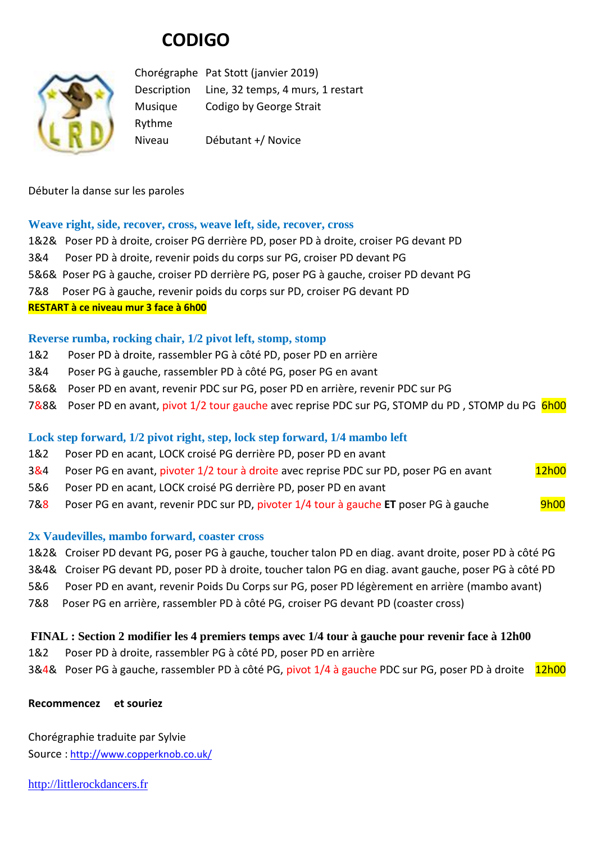# **CODIGO**



Chorégraphe Pat Stott (janvier 2019) Description Line, 32 temps, 4 murs, 1 restart Musique Codigo by George Strait Rythme Niveau Débutant +/ Novice

Débuter la danse sur les paroles

# **Weave right, side, recover, cross, weave left, side, recover, cross**

|                                       | 1&2& Poser PD à droite, croiser PG derrière PD, poser PD à droite, croiser PG devant PD |
|---------------------------------------|-----------------------------------------------------------------------------------------|
|                                       | 3&4 Poser PD à droite, revenir poids du corps sur PG, croiser PD devant PG              |
|                                       | 5&6& Poser PG à gauche, croiser PD derrière PG, poser PG à gauche, croiser PD devant PG |
|                                       | 7&8 Poser PG à gauche, revenir poids du corps sur PD, croiser PG devant PD              |
| RESTART à ce niveau mur 3 face à 6h00 |                                                                                         |

# **Reverse rumba, rocking chair, 1/2 pivot left, stomp, stomp**

- 1&2 Poser PD à droite, rassembler PG à côté PD, poser PD en arrière
- 3&4 Poser PG à gauche, rassembler PD à côté PG, poser PG en avant
- 5&6& Poser PD en avant, revenir PDC sur PG, poser PD en arrière, revenir PDC sur PG
- 7&8& Poser PD en avant, pivot 1/2 tour gauche avec reprise PDC sur PG, STOMP du PD, STOMP du PG 6h00

# **Lock step forward, 1/2 pivot right, step, lock step forward, 1/4 mambo left**

- 1&2 Poser PD en acant, LOCK croisé PG derrière PD, poser PD en avant
- 3&4 Poser PG en avant, pivoter 1/2 tour à droite avec reprise PDC sur PD, poser PG en avant 12h00
- 5&6 Poser PD en acant, LOCK croisé PG derrière PD, poser PD en avant
- 7&8 Poser PG en avant, revenir PDC sur PD, pivoter 1/4 tour à gauche ET poser PG à gauche 9h00

# **2x Vaudevilles, mambo forward, coaster cross**

- 1&2& Croiser PD devant PG, poser PG à gauche, toucher talon PD en diag. avant droite, poser PD à côté PG
- 3&4& Croiser PG devant PD, poser PD à droite, toucher talon PG en diag. avant gauche, poser PG à côté PD
- 5&6 Poser PD en avant, revenir Poids Du Corps sur PG, poser PD légèrement en arrière (mambo avant)
- 7&8 Poser PG en arrière, rassembler PD à côté PG, croiser PG devant PD (coaster cross)

# **FINAL : Section 2 modifier les 4 premiers temps avec 1/4 tour à gauche pour revenir face à 12h00**

- 1&2 Poser PD à droite, rassembler PG à côté PD, poser PD en arrière
- 3&4& Poser PG à gauche, rassembler PD à côté PG, pivot 1/4 à gauche PDC sur PG, poser PD à droite 12h00

#### **Recommencez et souriez**

Chorégraphie traduite par Sylvie Source : [http://www.copperknob.co.uk/](https://www.copperknob.co.uk/) 

[http://littlerockdancers.fr](http://littlerockdancers.fr/)